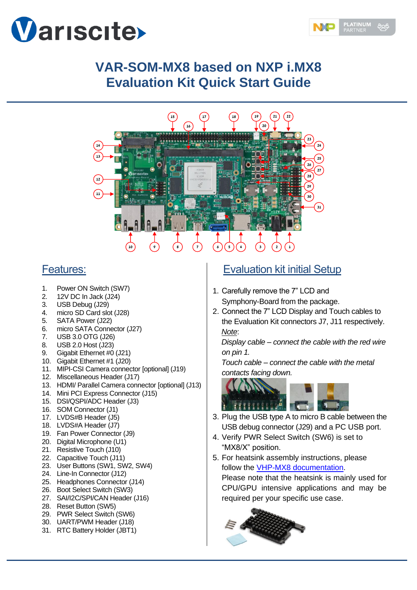



# **VAR-SOM-MX8 based on NXP i.MX8 Evaluation Kit Quick Start Guide**



#### Features:

- 1. Power ON Switch (SW7)
- 2. 12V DC In Jack (J24)
- 3. USB Debug (J29)
- 4. micro SD Card slot (J28)
- 5. SATA Power (J22)
- 6. micro SATA Connector (J27)
- 7. USB 3.0 OTG (J26)
- 8. USB 2.0 Host (J23)
- 9. Gigabit Ethernet #0 (J21)
- 10. Gigabit Ethernet #1 (J20)
- 11. MIPI-CSI Camera connector [optional] (J19)
- 12. Miscellaneous Header (J17)
- 13. HDMI/ Parallel Camera connector [optional] (J13)
- 14. Mini PCI Express Connector (J15)
- 15. DSI/QSPI/ADC Header (J3)
- 16. SOM Connector (J1)
- 17. LVDS#B Header (J5)
- 18. LVDS#A Header (J7)
- 19. Fan Power Connector (J9)
- 20. Digital Microphone (U1) 21. Resistive Touch (J10)
- 22. Capacitive Touch (J11)
- 23. User Buttons (SW1, SW2, SW4)
- 24. Line-In Connector (J12)
- 25. Headphones Connector (J14)
- 26. Boot Select Switch (SW3)
- 27. SAI/I2C/SPI/CAN Header (J16)
- 28. Reset Button (SW5)
- 29. PWR Select Switch (SW6)
- 30. UART/PWM Header (J18)
- 31. RTC Battery Holder (JBT1)

## Evaluation kit initial Setup

- 1. Carefully remove the 7" LCD and Symphony-Board from the package.
- 2. Connect the 7" LCD Display and Touch cables to the Evaluation Kit connectors J7, J11 respectively. *Note*:

*Display cable – connect the cable with the red wire on pin 1.*

*Touch cable – connect the cable with the metal contacts facing down.*



- 3. Plug the USB type A to micro B cable between the USB debug connector (J29) and a PC USB port.
- 4. Verify PWR Select Switch (SW6) is set to "MX8/X" position.
- 5. For heatsink assembly instructions, please follow the VHP-MX8 [documentation.](https://www.variscite.com/wp-content/uploads/2020/11/VHP-MX8_Datasheet.pdf)

Please note that the heatsink is mainly used for CPU/GPU intensive applications and may be required per your specific use case.